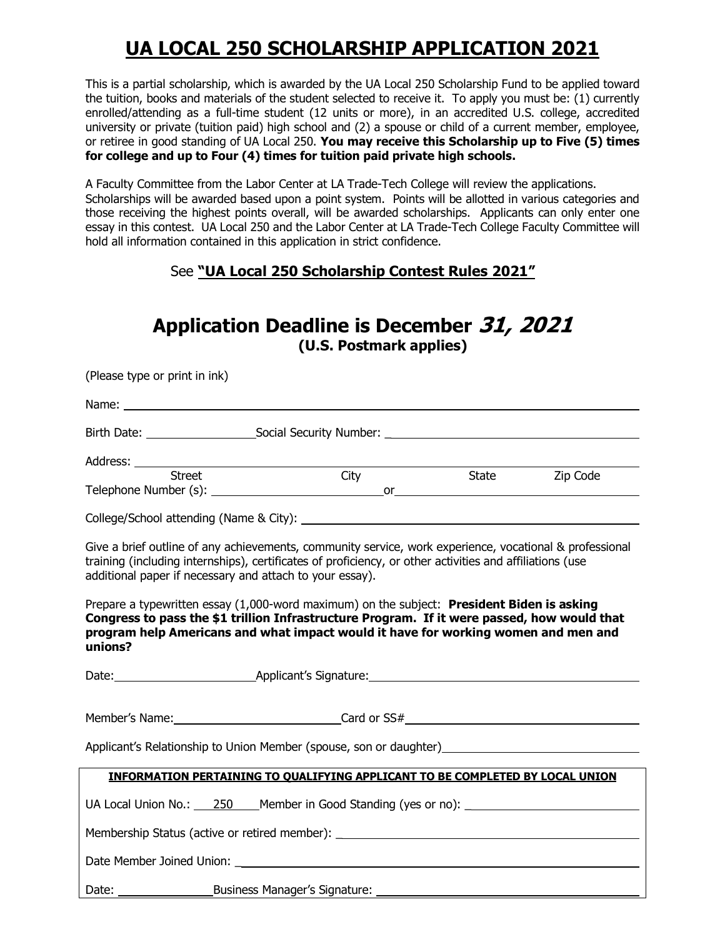## **UA LOCAL 250 SCHOLARSHIP APPLICATION 2021**

This is a partial scholarship, which is awarded by the UA Local 250 Scholarship Fund to be applied toward the tuition, books and materials of the student selected to receive it. To apply you must be: (1) currently enrolled/attending as a full-time student (12 units or more), in an accredited U.S. college, accredited university or private (tuition paid) high school and (2) a spouse or child of a current member, employee, or retiree in good standing of UA Local 250. **You may receive this Scholarship up to Five (5) times for college and up to Four (4) times for tuition paid private high schools.**

A Faculty Committee from the Labor Center at LA Trade-Tech College will review the applications. Scholarships will be awarded based upon a point system. Points will be allotted in various categories and those receiving the highest points overall, will be awarded scholarships. Applicants can only enter one essay in this contest. UA Local 250 and the Labor Center at LA Trade-Tech College Faculty Committee will hold all information contained in this application in strict confidence.

#### See **"UA Local 250 Scholarship Contest Rules 2021"**

## **Application Deadline is December 31, 2021 (U.S. Postmark applies)**

| (Please type or print in ink)                                                                                                                                                                                                                                                                                                                                                                                                                                                                                                                                                 |                                                                                      |  |  |                |
|-------------------------------------------------------------------------------------------------------------------------------------------------------------------------------------------------------------------------------------------------------------------------------------------------------------------------------------------------------------------------------------------------------------------------------------------------------------------------------------------------------------------------------------------------------------------------------|--------------------------------------------------------------------------------------|--|--|----------------|
|                                                                                                                                                                                                                                                                                                                                                                                                                                                                                                                                                                               |                                                                                      |  |  |                |
|                                                                                                                                                                                                                                                                                                                                                                                                                                                                                                                                                                               |                                                                                      |  |  |                |
| Address: <u>Street City City</u>                                                                                                                                                                                                                                                                                                                                                                                                                                                                                                                                              |                                                                                      |  |  |                |
|                                                                                                                                                                                                                                                                                                                                                                                                                                                                                                                                                                               |                                                                                      |  |  | State Zip Code |
|                                                                                                                                                                                                                                                                                                                                                                                                                                                                                                                                                                               |                                                                                      |  |  |                |
| Give a brief outline of any achievements, community service, work experience, vocational & professional<br>training (including internships), certificates of proficiency, or other activities and affiliations (use<br>additional paper if necessary and attach to your essay).<br>Prepare a typewritten essay (1,000-word maximum) on the subject: President Biden is asking<br>Congress to pass the \$1 trillion Infrastructure Program. If it were passed, how would that<br>program help Americans and what impact would it have for working women and men and<br>unions? |                                                                                      |  |  |                |
|                                                                                                                                                                                                                                                                                                                                                                                                                                                                                                                                                                               |                                                                                      |  |  |                |
|                                                                                                                                                                                                                                                                                                                                                                                                                                                                                                                                                                               |                                                                                      |  |  |                |
|                                                                                                                                                                                                                                                                                                                                                                                                                                                                                                                                                                               |                                                                                      |  |  |                |
|                                                                                                                                                                                                                                                                                                                                                                                                                                                                                                                                                                               | <b>INFORMATION PERTAINING TO QUALIFYING APPLICANT TO BE COMPLETED BY LOCAL UNION</b> |  |  |                |
|                                                                                                                                                                                                                                                                                                                                                                                                                                                                                                                                                                               |                                                                                      |  |  |                |
| Membership Status (active or retired member): __________________________________                                                                                                                                                                                                                                                                                                                                                                                                                                                                                              |                                                                                      |  |  |                |
|                                                                                                                                                                                                                                                                                                                                                                                                                                                                                                                                                                               |                                                                                      |  |  |                |
| Date:                                                                                                                                                                                                                                                                                                                                                                                                                                                                                                                                                                         | Business Manager's Signature:                                                        |  |  |                |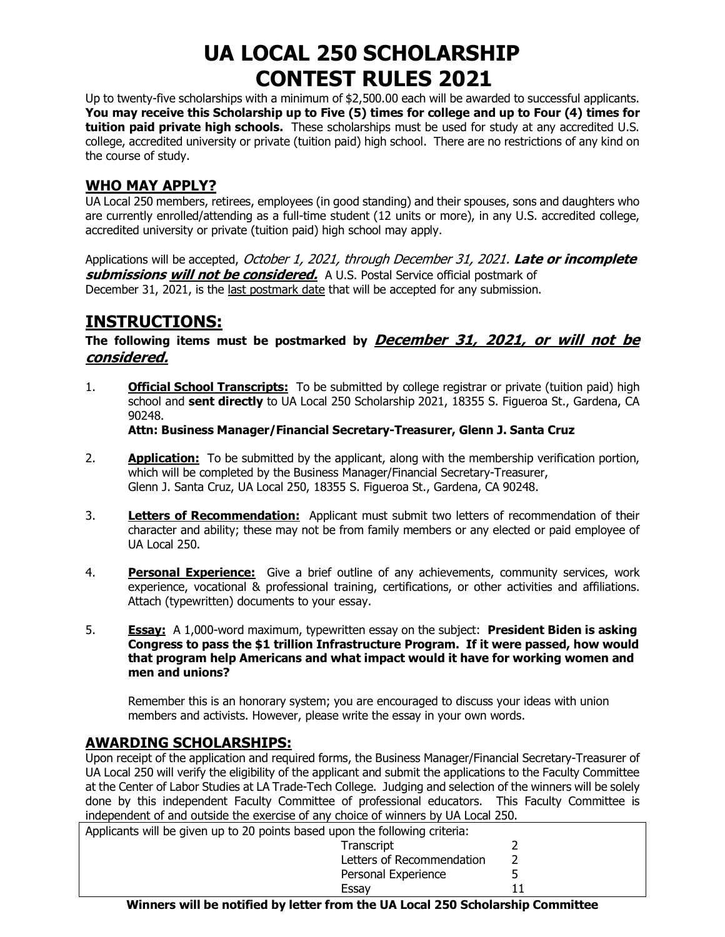# **UA LOCAL 250 SCHOLARSHIP CONTEST RULES 2021**

Up to twenty-five scholarships with a minimum of \$2,500.00 each will be awarded to successful applicants. **You may receive this Scholarship up to Five (5) times for college and up to Four (4) times for tuition paid private high schools.** These scholarships must be used for study at any accredited U.S. college, accredited university or private (tuition paid) high school. There are no restrictions of any kind on the course of study.

#### **WHO MAY APPLY?**

UA Local 250 members, retirees, employees (in good standing) and their spouses, sons and daughters who are currently enrolled/attending as a full-time student (12 units or more), in any U.S. accredited college, accredited university or private (tuition paid) high school may apply.

Applications will be accepted, October 1, 2021, through December 31, 2021. **Late or incomplete submissions will not be considered.** A U.S. Postal Service official postmark of December 31, 2021, is the last postmark date that will be accepted for any submission.

## **INSTRUCTIONS:**

#### **The following items must be postmarked by December 31, 2021, or will not be considered.**

1. **Official School Transcripts:** To be submitted by college registrar or private (tuition paid) high school and **sent directly** to UA Local 250 Scholarship 2021, 18355 S. Figueroa St., Gardena, CA 90248.

**Attn: Business Manager/Financial Secretary-Treasurer, Glenn J. Santa Cruz**

- 2. **Application:** To be submitted by the applicant, along with the membership verification portion, which will be completed by the Business Manager/Financial Secretary-Treasurer, Glenn J. Santa Cruz, UA Local 250, 18355 S. Figueroa St., Gardena, CA 90248.
- 3. **Letters of Recommendation:** Applicant must submit two letters of recommendation of their character and ability; these may not be from family members or any elected or paid employee of UA Local 250.
- 4. **Personal Experience:** Give a brief outline of any achievements, community services, work experience, vocational & professional training, certifications, or other activities and affiliations. Attach (typewritten) documents to your essay.
- 5. **Essay:** A 1,000-word maximum, typewritten essay on the subject: **President Biden is asking Congress to pass the \$1 trillion Infrastructure Program. If it were passed, how would that program help Americans and what impact would it have for working women and men and unions?**

Remember this is an honorary system; you are encouraged to discuss your ideas with union members and activists. However, please write the essay in your own words.

#### **AWARDING SCHOLARSHIPS:**

Upon receipt of the application and required forms, the Business Manager/Financial Secretary-Treasurer of UA Local 250 will verify the eligibility of the applicant and submit the applications to the Faculty Committee at the Center of Labor Studies at LA Trade-Tech College. Judging and selection of the winners will be solely done by this independent Faculty Committee of professional educators. This Faculty Committee is independent of and outside the exercise of any choice of winners by UA Local 250.

| Applicants will be given up to 20 points based upon the following criteria: |  |  |  |  |  |
|-----------------------------------------------------------------------------|--|--|--|--|--|
| Transcript                                                                  |  |  |  |  |  |
| Letters of Recommendation                                                   |  |  |  |  |  |
| Personal Experience                                                         |  |  |  |  |  |
| Essav                                                                       |  |  |  |  |  |

**Winners will be notified by letter from the UA Local 250 Scholarship Committee**